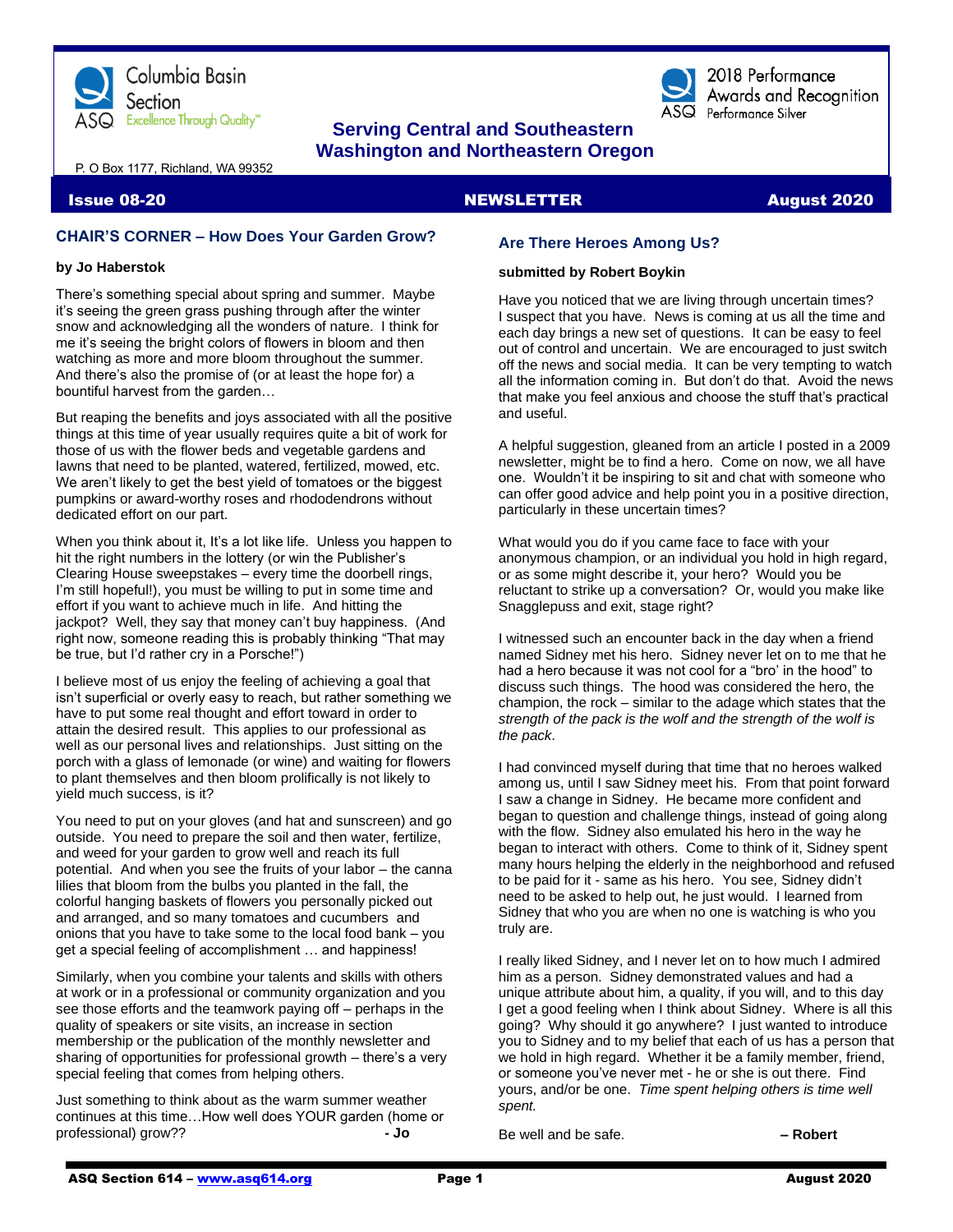

# **Serving Central and Southeastern Washington and Northeastern Oregon**

P. O Box 1177, Richland, WA 99352

## **Issue 08-20 NEWSLETTER** August 2020

# **CHAIR'S CORNER – How Does Your Garden Grow?**

#### **by Jo Haberstok**

There's something special about spring and summer. Maybe it's seeing the green grass pushing through after the winter snow and acknowledging all the wonders of nature. I think for me it's seeing the bright colors of flowers in bloom and then watching as more and more bloom throughout the summer. And there's also the promise of (or at least the hope for) a bountiful harvest from the garden…

But reaping the benefits and joys associated with all the positive things at this time of year usually requires quite a bit of work for those of us with the flower beds and vegetable gardens and lawns that need to be planted, watered, fertilized, mowed, etc. We aren't likely to get the best yield of tomatoes or the biggest pumpkins or award-worthy roses and rhododendrons without dedicated effort on our part.

When you think about it, It's a lot like life. Unless you happen to hit the right numbers in the lottery (or win the Publisher's Clearing House sweepstakes – every time the doorbell rings, I'm still hopeful!), you must be willing to put in some time and effort if you want to achieve much in life. And hitting the jackpot? Well, they say that money can't buy happiness. (And right now, someone reading this is probably thinking "That may be true, but I'd rather cry in a Porsche!")

I believe most of us enjoy the feeling of achieving a goal that isn't superficial or overly easy to reach, but rather something we have to put some real thought and effort toward in order to attain the desired result. This applies to our professional as well as our personal lives and relationships. Just sitting on the porch with a glass of lemonade (or wine) and waiting for flowers to plant themselves and then bloom prolifically is not likely to yield much success, is it?

You need to put on your gloves (and hat and sunscreen) and go outside. You need to prepare the soil and then water, fertilize, and weed for your garden to grow well and reach its full potential. And when you see the fruits of your labor – the canna lilies that bloom from the bulbs you planted in the fall, the colorful hanging baskets of flowers you personally picked out and arranged, and so many tomatoes and cucumbers and onions that you have to take some to the local food bank – you get a special feeling of accomplishment … and happiness!

Similarly, when you combine your talents and skills with others at work or in a professional or community organization and you see those efforts and the teamwork paying off – perhaps in the quality of speakers or site visits, an increase in section membership or the publication of the monthly newsletter and sharing of opportunities for professional growth – there's a very special feeling that comes from helping others.

Just something to think about as the warm summer weather continues at this time…How well does YOUR garden (home or professional) grow?? **- Jo**

# **Are There Heroes Among Us?**

#### **submitted by Robert Boykin**

Have you noticed that we are living through uncertain times? I suspect that you have. News is coming at us all the time and each day brings a new set of questions. It can be easy to feel out of control and uncertain. We are encouraged to just switch off the news and social media. It can be very tempting to watch all the information coming in. But don't do that. Avoid the news that make you feel anxious and choose the stuff that's practical and useful.

2018 Performance Awards and Recognition

 $\overline{\text{ASQ}}$  Performance Silver

A helpful suggestion, gleaned from an article I posted in a 2009 newsletter, might be to find a hero. Come on now, we all have one. Wouldn't it be inspiring to sit and chat with someone who can offer good advice and help point you in a positive direction, particularly in these uncertain times?

What would you do if you came face to face with your anonymous champion, or an individual you hold in high regard, or as some might describe it, your hero? Would you be reluctant to strike up a conversation? Or, would you make like Snagglepuss and exit, stage right?

I witnessed such an encounter back in the day when a friend named Sidney met his hero. Sidney never let on to me that he had a hero because it was not cool for a "bro' in the hood" to discuss such things. The hood was considered the hero, the champion, the rock – similar to the adage which states that the *strength of the pack is the wolf and the strength of the wolf is the pack*.

I had convinced myself during that time that no heroes walked among us, until I saw Sidney meet his. From that point forward I saw a change in Sidney. He became more confident and began to question and challenge things, instead of going along with the flow. Sidney also emulated his hero in the way he began to interact with others. Come to think of it, Sidney spent many hours helping the elderly in the neighborhood and refused to be paid for it - same as his hero. You see, Sidney didn't need to be asked to help out, he just would. I learned from Sidney that who you are when no one is watching is who you truly are.

I really liked Sidney, and I never let on to how much I admired him as a person. Sidney demonstrated values and had a unique attribute about him, a quality, if you will, and to this day I get a good feeling when I think about Sidney. Where is all this going? Why should it go anywhere? I just wanted to introduce you to Sidney and to my belief that each of us has a person that we hold in high regard. Whether it be a family member, friend, or someone you've never met - he or she is out there. Find yours, and/or be one. *Time spent helping others is time well spent.*

Be well and be safe. **– Robert**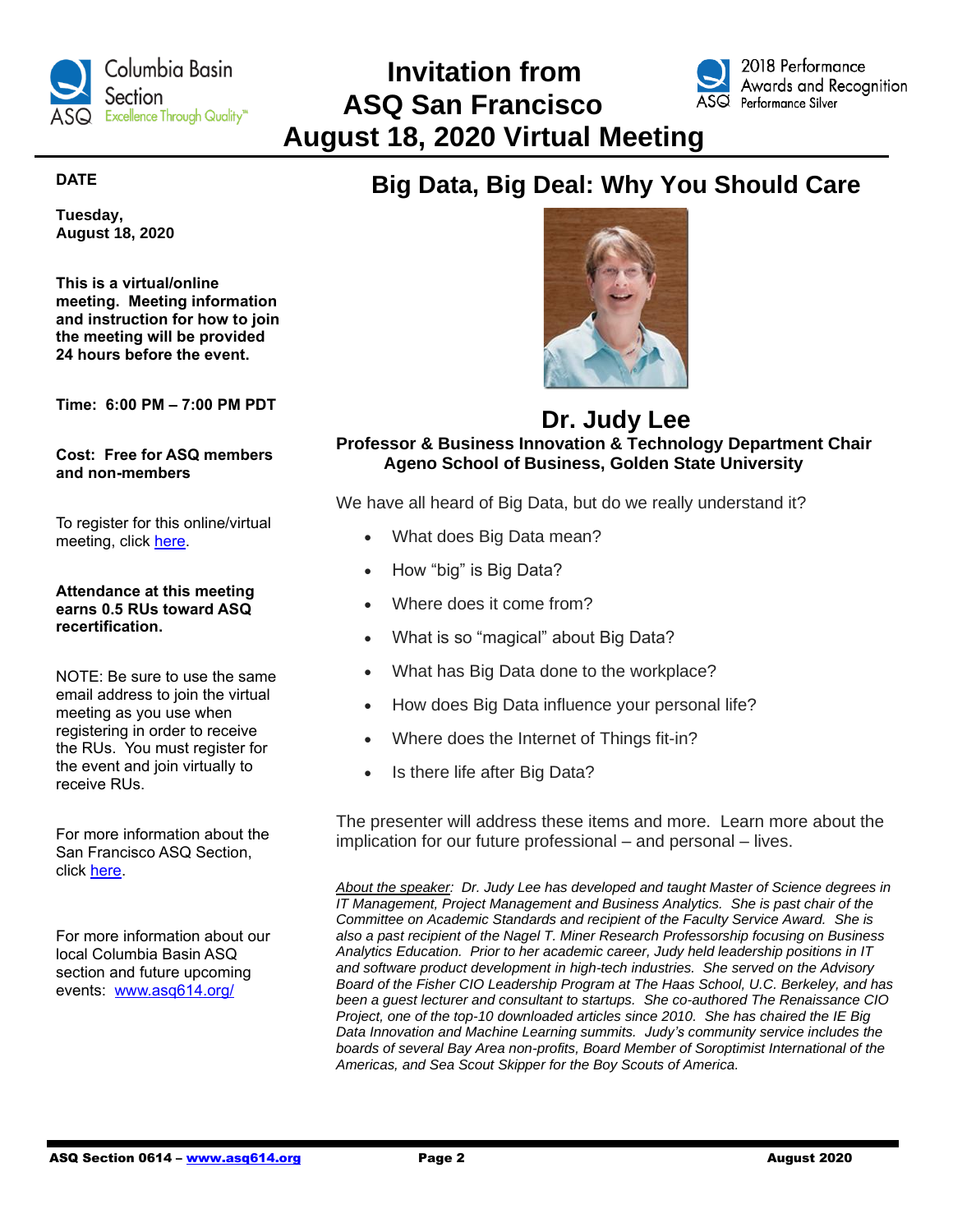

 **Invitation from ASQ San Francisco August 18, 2020 Virtual Meeting**



# **DATE**

**Tuesday, August 18, 2020**

**This is a virtual/online meeting. Meeting information and instruction for how to join the meeting will be provided 24 hours before the event.**

**Time: 6:00 PM – 7:00 PM PDT**

**Cost: Free for ASQ members and non-members**

To register for this online/virtual meeting, click [here.](https://www.eventbrite.com/e/big-data-big-deal-why-you-should-care-tickets-112016169378)

## **Attendance at this meeting earns 0.5 RUs toward ASQ recertification.**

NOTE: Be sure to use the same email address to join the virtual meeting as you use when registering in order to receive the RUs. You must register for the event and join virtually to receive RUs.

For more information about the San Francisco ASQ Section, click [here.](https://my.asq.org/communities/home/149)

For more information about our local Columbia Basin ASQ section and future upcoming events: [www.asq614.org/](http://www.asq614.org/)

# **Big Data, Big Deal: Why You Should Care**



# **Dr. Judy Lee Professor & Business Innovation & Technology Department Chair Ageno School of Business, Golden State University**

We have all heard of Big Data, but do we really understand it?

- What does Big Data mean?
- How "big" is Big Data?
- Where does it come from?
- What is so "magical" about Big Data?
- What has Big Data done to the workplace?
- How does Big Data influence your personal life?
- Where does the Internet of Things fit-in?
- Is there life after Big Data?

The presenter will address these items and more. Learn more about the implication for our future professional – and personal – lives.

*About the speaker: Dr. Judy Lee has developed and taught Master of Science degrees in IT Management, Project Management and Business Analytics. She is past chair of the Committee on Academic Standards and recipient of the Faculty Service Award. She is also a past recipient of the Nagel T. Miner Research Professorship focusing on Business Analytics Education. Prior to her academic career, Judy held leadership positions in IT and software product development in high-tech industries. She served on the Advisory Board of the Fisher CIO Leadership Program at The Haas School, U.C. Berkeley, and has been a guest lecturer and consultant to startups. She co-authored The Renaissance CIO Project, one of the top-10 downloaded articles since 2010. She has chaired the IE Big Data Innovation and Machine Learning summits. Judy's community service includes the boards of several Bay Area non-profits, Board Member of Soroptimist International of the Americas, and Sea Scout Skipper for the Boy Scouts of America.*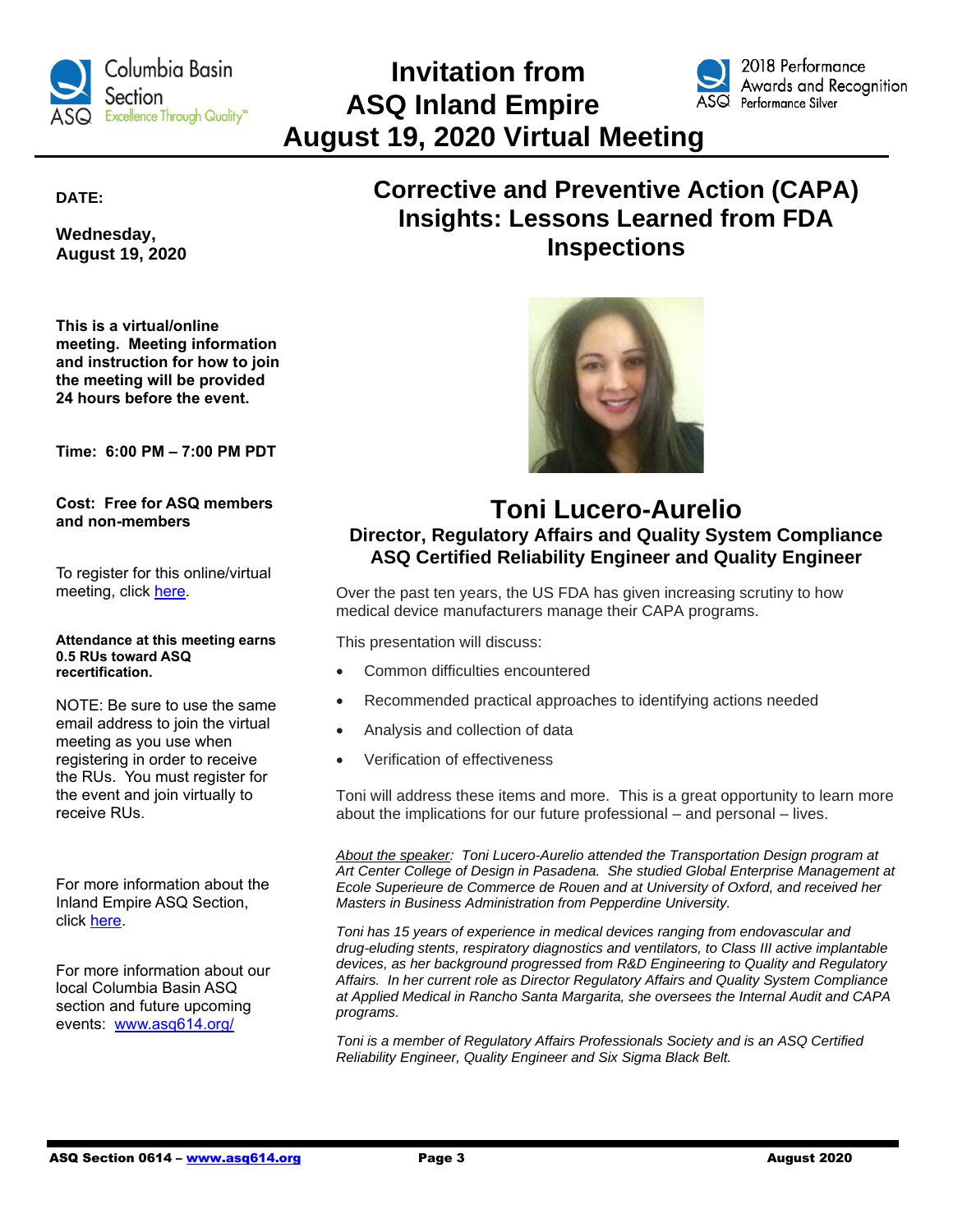

# **Invitation from ASQ Inland Empire August 19, 2020 Virtual Meeting**



2018 Performance Awards and Recognition

**DATE:**

**Wednesday, August 19, 2020**

**This is a virtual/online meeting. Meeting information and instruction for how to join the meeting will be provided 24 hours before the event.**

**Time: 6:00 PM – 7:00 PM PDT**

**Cost: Free for ASQ members and non-members**

To register for this online/virtual meeting, click [here.](https://asq711.org/meet-reg1.php?id=66)

#### **Attendance at this meeting earns 0.5 RUs toward ASQ recertification.**

NOTE: Be sure to use the same email address to join the virtual meeting as you use when registering in order to receive the RUs. You must register for the event and join virtually to receive RUs.

For more information about the Inland Empire ASQ Section, click [here.](https://asq711.org/board.php)

For more information about our local Columbia Basin ASQ section and future upcoming events: [www.asq614.org/](http://www.asq614.org/)

# **Corrective and Preventive Action (CAPA) Insights: Lessons Learned from FDA Inspections**



# **Toni Lucero-Aurelio Director, Regulatory Affairs and Quality System Compliance ASQ Certified Reliability Engineer and Quality Engineer**

Over the past ten years, the US FDA has given increasing scrutiny to how medical device manufacturers manage their CAPA programs.

This presentation will discuss:

- Common difficulties encountered
- Recommended practical approaches to identifying actions needed
- Analysis and collection of data
- Verification of effectiveness

Toni will address these items and more. This is a great opportunity to learn more about the implications for our future professional – and personal – lives.

*About the speaker: Toni Lucero-Aurelio attended the Transportation Design program at Art Center College of Design in Pasadena. She studied Global Enterprise Management at Ecole Superieure de Commerce de Rouen and at University of Oxford, and received her Masters in Business Administration from Pepperdine University.*

*Toni has 15 years of experience in medical devices ranging from endovascular and drug-eluding stents, respiratory diagnostics and ventilators, to Class III active implantable devices, as her background progressed from R&D Engineering to Quality and Regulatory Affairs. In her current role as Director Regulatory Affairs and Quality System Compliance at Applied Medical in Rancho Santa Margarita, she oversees the Internal Audit and CAPA programs.*

*Toni is a member of Regulatory Affairs Professionals Society and is an ASQ Certified Reliability Engineer, Quality Engineer and Six Sigma Black Belt.*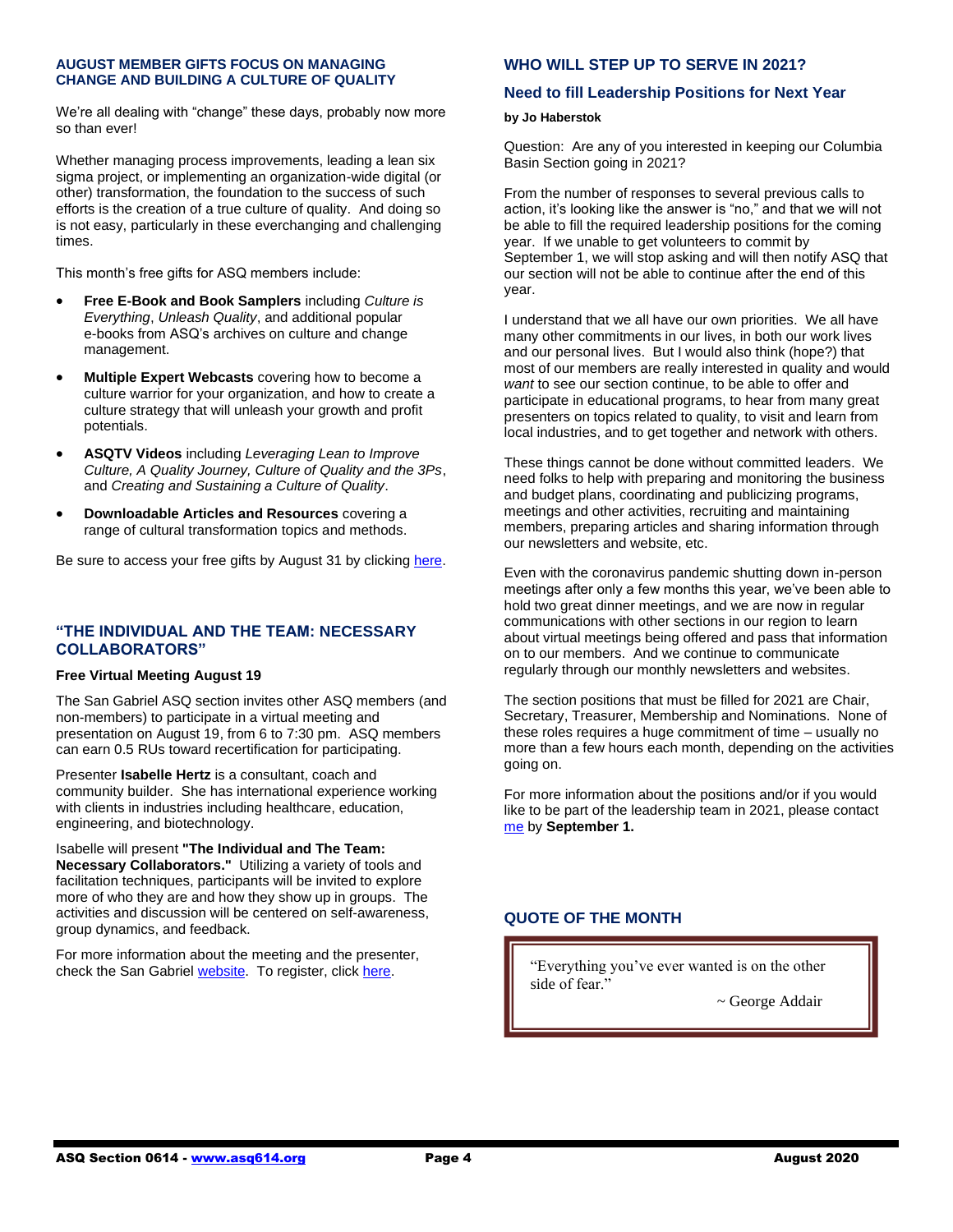#### **AUGUST MEMBER GIFTS FOCUS ON MANAGING CHANGE AND BUILDING A CULTURE OF QUALITY**

We're all dealing with "change" these days, probably now more so than ever!

Whether managing process improvements, leading a lean six sigma project, or implementing an organization-wide digital (or other) transformation, the foundation to the success of such efforts is the creation of a true culture of quality. And doing so is not easy, particularly in these everchanging and challenging times.

This month's free gifts for ASQ members include:

- **Free E-Book and Book Samplers** including *Culture is Everything*, *Unleash Quality*, and additional popular e-books from ASQ's archives on culture and change management.
- **Multiple Expert Webcasts** covering how to become a culture warrior for your organization, and how to create a culture strategy that will unleash your growth and profit potentials.
- **ASQTV Videos** including *Leveraging Lean to Improve Culture, A Quality Journey, Culture of Quality and the 3Ps*, and *Creating and Sustaining a Culture of Quality*.
- **Downloadable Articles and Resources** covering a range of cultural transformation topics and methods.

Be sure to access your free gifts by August 31 by clicking [here.](https://secure.asq.org/perl/msg.pl?prvurl=http://asq.org/membership/members/gift/?utm_campaign=marketing%5Faugustmembergift%5F080320&utm_medium=email&utm_source=email)

## **"THE INDIVIDUAL AND THE TEAM: NECESSARY COLLABORATORS"**

#### **Free Virtual Meeting August 19**

The San Gabriel ASQ section invites other ASQ members (and non-members) to participate in a virtual meeting and presentation on August 19, from 6 to 7:30 pm. ASQ members can earn 0.5 RUs toward recertification for participating.

Presenter **Isabelle Hertz** is a consultant, coach and community builder. She has international experience working with clients in industries including healthcare, education, engineering, and biotechnology.

Isabelle will present **"The Individual and The Team: Necessary Collaborators."** Utilizing a variety of tools and facilitation techniques, participants will be invited to explore more of who they are and how they show up in groups. The activities and discussion will be centered on self-awareness, group dynamics, and feedback.

For more information about the meeting and the presenter, check the San Gabriel [website.](https://asq702.us13.list-manage.com/track/click?u=a1340c1619d29e418fb2c52de&id=73a6a944c6&e=9be15f98de) To register, click [here.](https://www.eventbrite.com/e/2020-08-asq-san-gabriel-valley-monthly-meeting-tickets-37748748523?aff=odeimcmailchimp&utm_campaign=30bf563e7d-2018-03+ASQ+0702+Monthly+Meeting_COPY_01&utm_term=0_5cb6d4a937-30bf563e7d-250793833&utm_source=ASQ+702+Members+%26+Attendees&utm_medium=email&mc_eid=9be15f98de&mc_cid=30bf563e7d)

# **WHO WILL STEP UP TO SERVE IN 2021?**

#### **Need to fill Leadership Positions for Next Year**

#### **by Jo Haberstok**

Question: Are any of you interested in keeping our Columbia Basin Section going in 2021?

From the number of responses to several previous calls to action, it's looking like the answer is "no," and that we will not be able to fill the required leadership positions for the coming year. If we unable to get volunteers to commit by September 1, we will stop asking and will then notify ASQ that our section will not be able to continue after the end of this year.

I understand that we all have our own priorities. We all have many other commitments in our lives, in both our work lives and our personal lives. But I would also think (hope?) that most of our members are really interested in quality and would *want* to see our section continue, to be able to offer and participate in educational programs, to hear from many great presenters on topics related to quality, to visit and learn from local industries, and to get together and network with others.

These things cannot be done without committed leaders. We need folks to help with preparing and monitoring the business and budget plans, coordinating and publicizing programs, meetings and other activities, recruiting and maintaining members, preparing articles and sharing information through our newsletters and website, etc.

Even with the coronavirus pandemic shutting down in-person meetings after only a few months this year, we've been able to hold two great dinner meetings, and we are now in regular communications with other sections in our region to learn about virtual meetings being offered and pass that information on to our members. And we continue to communicate regularly through our monthly newsletters and websites.

The section positions that must be filled for 2021 are Chair, Secretary, Treasurer, Membership and Nominations. None of these roles requires a huge commitment of time – usually no more than a few hours each month, depending on the activities going on.

For more information about the positions and/or if you would like to be part of the leadership team in 2021, please contact [me](mailto:0614asq@gmail.com) by **September 1.**

# **QUOTE OF THE MONTH**

"Everything you've ever wanted is on the other side of fear."

~ George Addair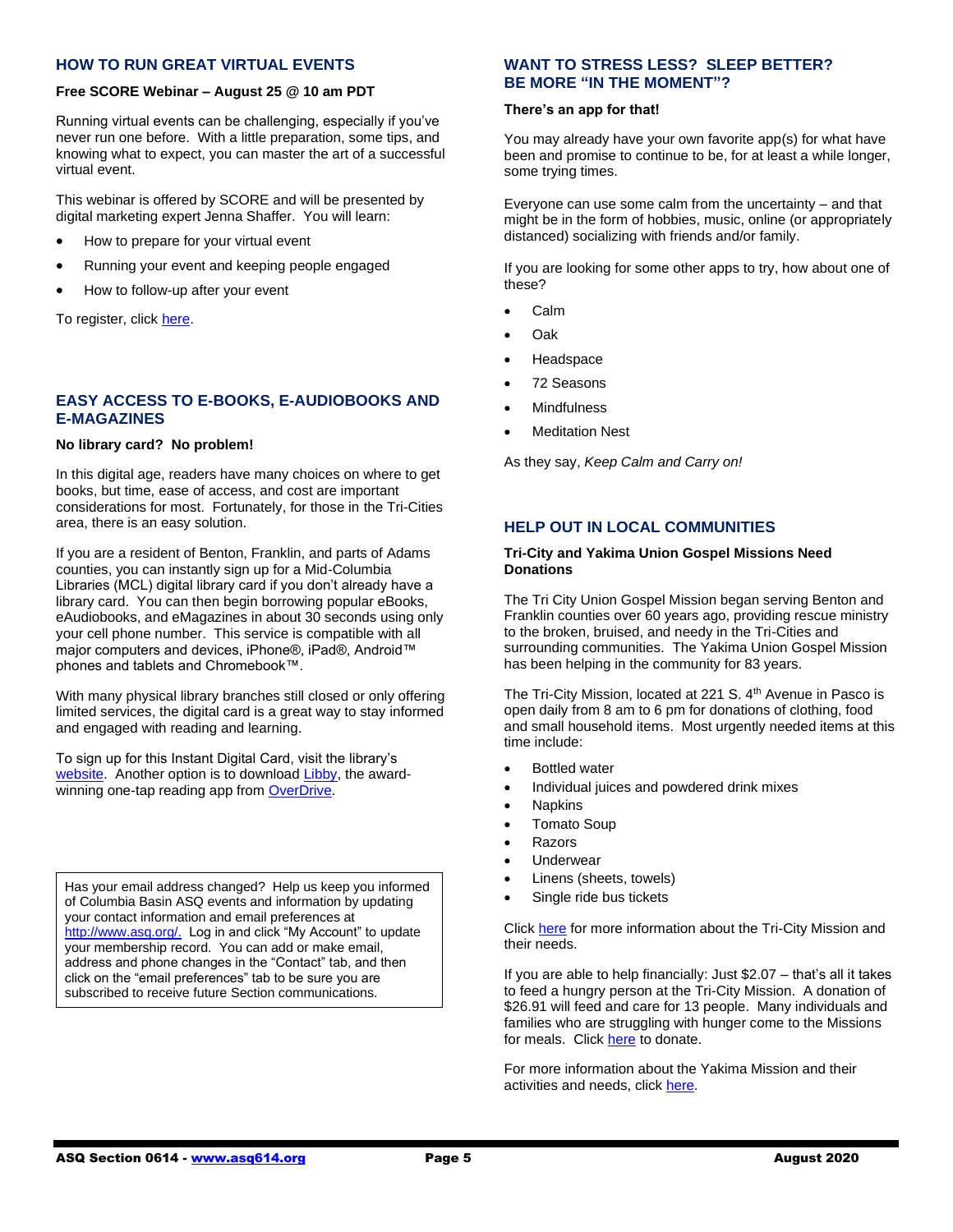#### **HOW TO RUN GREAT VIRTUAL EVENTS**

#### **Free SCORE Webinar – August 25 @ 10 am PDT**

Running virtual events can be challenging, especially if you've never run one before. With a little preparation, some tips, and knowing what to expect, you can master the art of a successful virtual event.

This webinar is offered by SCORE and will be presented by digital marketing expert Jenna Shaffer. You will learn:

- How to prepare for your virtual event
- Running your event and keeping people engaged
- How to follow-up after your event

To register, click [here.](https://readytalk.webcasts.com/starthere.jsp?ei=1338980&tp_key=91f774db67&sti=monthlynews)

#### **EASY ACCESS TO E-BOOKS, E-AUDIOBOOKS AND E-MAGAZINES**

#### **No library card? No problem!**

In this digital age, readers have many choices on where to get books, but time, ease of access, and cost are important considerations for most. Fortunately, for those in the Tri-Cities area, there is an easy solution.

If you are a resident of Benton, Franklin, and parts of Adams counties, you can instantly sign up for a Mid-Columbia Libraries (MCL) digital library card if you don't already have a library card. You can then begin borrowing popular eBooks, eAudiobooks, and eMagazines in about 30 seconds using only your cell phone number. This service is compatible with all major computers and devices, iPhone®, iPad®, Android™ phones and tablets and Chromebook™.

With many physical library branches still closed or only offering limited services, the digital card is a great way to stay informed and engaged with reading and learning.

To sign up for this Instant Digital Card, visit the library's [website.](https://midcolumbialibraries.overdrive.com/) Another option is to download [Libby,](https://meet.libbyapp.com/) the awardwinning one-tap reading app fro[m OverDrive.](https://company.overdrive.com/)

Has your email address changed? Help us keep you informed of Columbia Basin ASQ events and information by updating your contact information and email preferences at [http://www.asq.org/.](http://www.asq.org/) Log in and click "My Account" to update your membership record. You can add or make email, address and phone changes in the "Contact" tab, and then click on the "email preferences" tab to be sure you are subscribed to receive future Section communications.

## **WANT TO STRESS LESS? SLEEP BETTER? BE MORE "IN THE MOMENT"?**

#### **There's an app for that!**

You may already have your own favorite app(s) for what have been and promise to continue to be, for at least a while longer, some trying times.

Everyone can use some calm from the uncertainty – and that might be in the form of hobbies, music, online (or appropriately distanced) socializing with friends and/or family.

If you are looking for some other apps to try, how about one of these?

- Calm
- Oak
- **Headspace**
- 72 Seasons
- **Mindfulness**
- **Meditation Nest**

As they say, *Keep Calm and Carry on!*

## **HELP OUT IN LOCAL COMMUNITIES**

#### **Tri-City and Yakima Union Gospel Missions Need Donations**

The Tri City Union Gospel Mission began serving Benton and Franklin counties over 60 years ago, providing rescue ministry to the broken, bruised, and needy in the Tri-Cities and surrounding communities. The Yakima Union Gospel Mission has been helping in the community for 83 years.

The Tri-City Mission, located at 221 S. 4<sup>th</sup> Avenue in Pasco is open daily from 8 am to 6 pm for donations of clothing, food and small household items. Most urgently needed items at this time include:

- Bottled water
- Individual juices and powdered drink mixes
- Napkins
- Tomato Soup
- **Razors**
- **Underwear**
- Linens (sheets, towels)
- Single ride bus tickets

Click [here](https://www.tcugm.org/needs/) for more information about the Tri-City Mission and their needs.

If you are able to help financially: Just \$2.07 – that's all it takes to feed a hungry person at the Tri-City Mission. A donation of \$26.91 will feed and care for 13 people. Many individuals and families who are struggling with hunger come to the Missions for meals. Clic[k here](https://interland3.donorperfect.net/weblink/weblink.aspx?name=E330736&id=71&_ga=2.204301968.1006745043.1596662630-1910022453.1596662630&_gac=1.162187656.1596662630.EAIaIQobChMIzKLf4_-E6wIVjcDACh2HGg7TEAAYASAAEgIPqvD_BwE) to donate.

For more information about the Yakima Mission and their activities and needs, click [here.](https://www.yugm.org/covid-19-updates)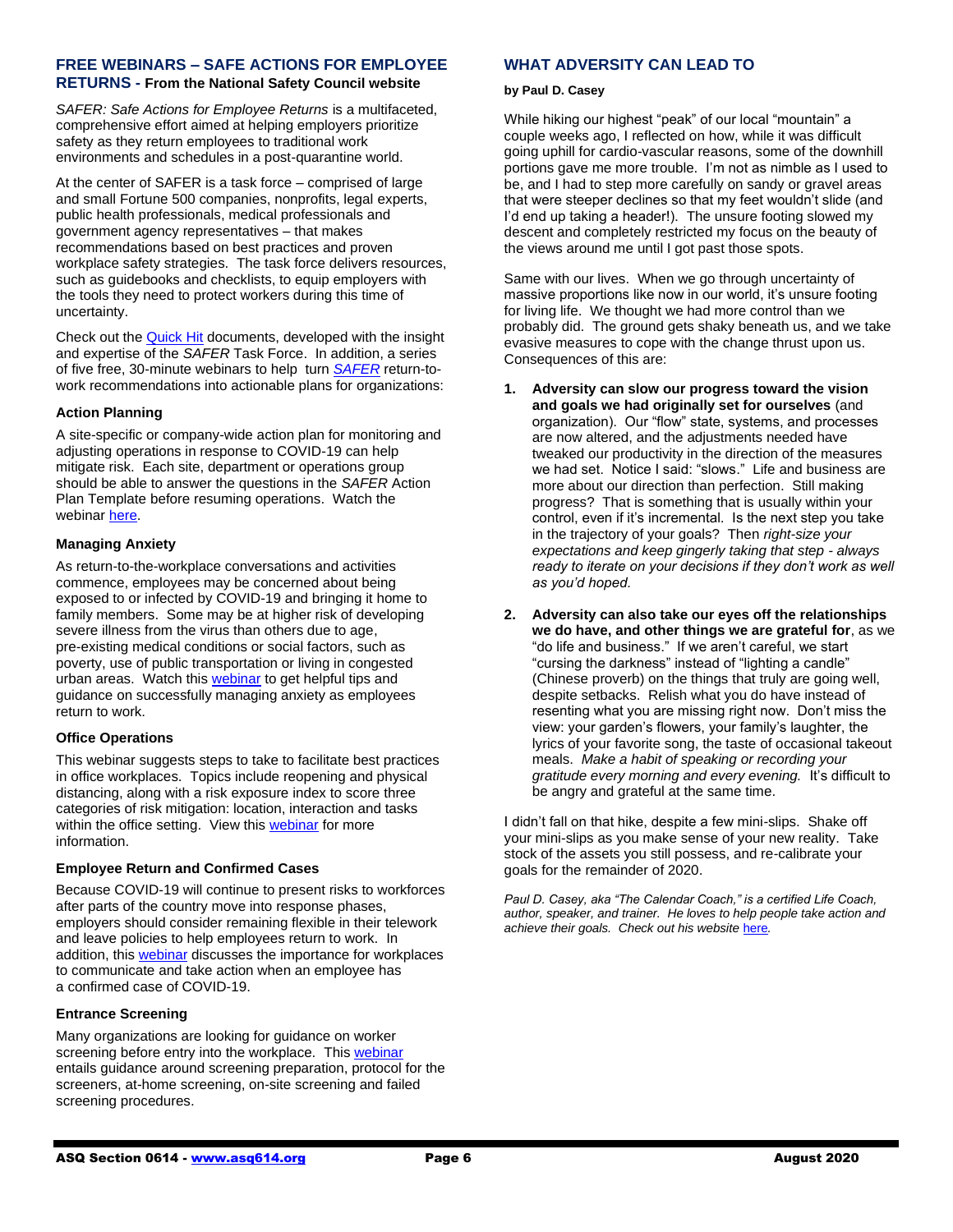#### **FREE WEBINARS – SAFE ACTIONS FOR EMPLOYEE RETURNS - From the National Safety Council website**

*SAFER: Safe Actions for Employee Returns* is a multifaceted, comprehensive effort aimed at helping employers prioritize safety as they return employees to traditional work environments and schedules in a post-quarantine world.

At the center of SAFER is a task force – comprised of large and small Fortune 500 companies, nonprofits, legal experts, public health professionals, medical professionals and government agency representatives – that makes recommendations based on best practices and proven workplace safety strategies. The task force delivers resources, such as guidebooks and checklists, to equip employers with the tools they need to protect workers during this time of uncertainty.

Check out the [Quick Hit](https://www.nsc.org/work-safety/safety-topics/safe-actions-for-employee-returns-safer/safer-quick-hits) documents, developed with the insight and expertise of the *SAFER* Task Force. In addition, a series of five free, 30-minute webinars to help turn *[SAFER](https://www.nsc.org/work-safety/safety-topics/safe-actions-for-employee-returns-safer)* return-towork recommendations into actionable plans for organizations:

#### **Action Planning**

A site-specific or company-wide action plan for monitoring and adjusting operations in response to COVID-19 can help mitigate risk. Each site, department or operations group should be able to answer the questions in the *SAFER* Action Plan Template before resuming operations. Watch the webinar [here.](https://www.youtube.com/watch?reload=9&v=orptSutbeH0&feature=youtu.be)

#### **Managing Anxiety**

As return-to-the-workplace conversations and activities commence, employees may be concerned about being exposed to or infected by COVID-19 and bringing it home to family members. Some may be at higher risk of developing severe illness from the virus than others due to age, pre-existing medical conditions or social factors, such as poverty, use of public transportation or living in congested urban areas. Watch this [webinar](https://www.youtube.com/watch?v=cCEjcbecFYY&feature=youtu.be) to get helpful tips and guidance on successfully managing anxiety as employees return to work.

## **Office Operations**

This webinar suggests steps to take to facilitate best practices in office workplaces. Topics include reopening and physical distancing, along with a risk exposure index to score three categories of risk mitigation: location, interaction and tasks within the office setting. View this [webinar](https://www.youtube.com/watch?v=F7RuZPlCs6g&feature=youtu.be) for more information.

## **Employee Return and Confirmed Cases**

Because COVID-19 will continue to present risks to workforces after parts of the country move into response phases, employers should consider remaining flexible in their telework and leave policies to help employees return to work. In addition, this [webinar](https://www.youtube.com/watch?v=9lKCRfo4sOs&feature=youtu.be) discusses the importance for workplaces to communicate and take action when an employee has a confirmed case of COVID-19.

#### **Entrance Screening**

Many organizations are looking for guidance on worker screening before entry into the workplace. Thi[s webinar](https://www.youtube.com/watch?v=S-ClphEyt4c&feature=youtu.be) entails guidance around screening preparation, protocol for the screeners, at-home screening, on-site screening and failed screening procedures.

# **WHAT ADVERSITY CAN LEAD TO**

#### **by Paul D. Casey**

While hiking our highest "peak" of our local "mountain" a couple weeks ago, I reflected on how, while it was difficult going uphill for cardio-vascular reasons, some of the downhill portions gave me more trouble. I'm not as nimble as I used to be, and I had to step more carefully on sandy or gravel areas that were steeper declines so that my feet wouldn't slide (and I'd end up taking a header!). The unsure footing slowed my descent and completely restricted my focus on the beauty of the views around me until I got past those spots.

Same with our lives. When we go through uncertainty of massive proportions like now in our world, it's unsure footing for living life. We thought we had more control than we probably did. The ground gets shaky beneath us, and we take evasive measures to cope with the change thrust upon us. Consequences of this are:

- **1. Adversity can slow our progress toward the vision and goals we had originally set for ourselves** (and organization). Our "flow" state, systems, and processes are now altered, and the adjustments needed have tweaked our productivity in the direction of the measures we had set. Notice I said: "slows." Life and business are more about our direction than perfection. Still making progress? That is something that is usually within your control, even if it's incremental. Is the next step you take in the trajectory of your goals? Then *right-size your expectations and keep gingerly taking that step - always ready to iterate on your decisions if they don't work as well as you'd hoped.*
- **2. Adversity can also take our eyes off the relationships we do have, and other things we are grateful for**, as we "do life and business." If we aren't careful, we start "cursing the darkness" instead of "lighting a candle" (Chinese proverb) on the things that truly are going well, despite setbacks. Relish what you do have instead of resenting what you are missing right now. Don't miss the view: your garden's flowers, your family's laughter, the lyrics of your favorite song, the taste of occasional takeout meals. *Make a habit of speaking or recording your gratitude every morning and every evening.* It's difficult to be angry and grateful at the same time.

I didn't fall on that hike, despite a few mini-slips. Shake off your mini-slips as you make sense of your new reality. Take stock of the assets you still possess, and re-calibrate your goals for the remainder of 2020.

*Paul D. Casey, aka "The Calendar Coach," is a certified Life Coach, author, speaker, and trainer. He loves to help people take action and achieve their goals. Check out his website* [here](https://www.paulcasey.org/)*.*